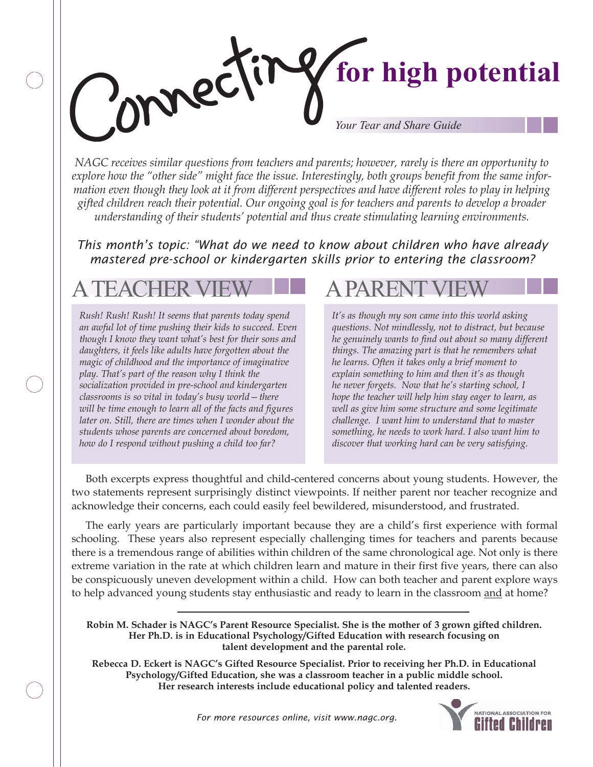# **for high potential** mec *Your Tear and Share Guide*

*NAGC receives similar questions from teachers and parents; however, rarely is there an opportunity to*  explore how the "other side" might face the issue. Interestingly, both groups benefit from the same infor*mation even though they look at it from different perspectives and have different roles to play in helping gifted children reach their potential. Our ongoing goal is for teachers and parents to develop a broader understanding of their students' potential and thus create stimulating learning environments.*

*This month's topic: "What do we need to know about children who have already mastered pre-school or kindergarten skills prior to entering the classroom?*

## A TEACHER VIEW **A PARENT**

*Rush! Rush! Rush! It seems that parents today spend an awful lot of time pushing their kids to succeed. Even though I know they want what's best for their sons and daughters, it feels like adults have forgotten about the magic of childhood and the importance of imaginative play. That's part of the reason why I think the socialization provided in pre-school and kindergarten classrooms is so vital in today's busy world—there will be time enough to learn all of the facts and figures later on. Still, there are times when I wonder about the students whose parents are concerned about boredom, how do I respond without pushing a child too far?*

*It's as though my son came into this world asking questions. Not mindlessly, not to distract, but because he genuinely wants to find out about so many different things. The amazing part is that he remembers what he learns. Often it takes only a brief moment to explain something to him and then it's as though he never forgets. Now that he's starting school, I hope the teacher will help him stay eager to learn, as well as give him some structure and some legitimate challenge. I want him to understand that to master something, he needs to work hard. I also want him to discover that working hard can be very satisfying.*

Both excerpts express thoughtful and child-centered concerns about young students. However, the two statements represent surprisingly distinct viewpoints. If neither parent nor teacher recognize and acknowledge their concerns, each could easily feel bewildered, misunderstood, and frustrated.

The early years are particularly important because they are a child's first experience with formal schooling. These years also represent especially challenging times for teachers and parents because there is a tremendous range of abilities within children of the same chronological age. Not only is there extreme variation in the rate at which children learn and mature in their first five years, there can also be conspicuously uneven development within a child. How can both teacher and parent explore ways to help advanced young students stay enthusiastic and ready to learn in the classroom and at home?

**Rebecca D. Eckert is NAGC's Gifted Resource Specialist. Prior to receiving her Ph.D. in Educational Psychology/Gifted Education, she was a classroom teacher in a public middle school. Her research interests include educational policy and talented readers.**



**Robin M. Schader is NAGC's Parent Resource Specialist. She is the mother of 3 grown gifted children. Her Ph.D. is in Educational Psychology/Gifted Education with research focusing on talent development and the parental role.**